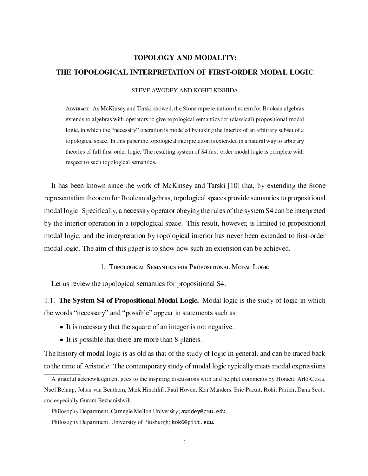# TOPOLOGY AND MODALITY: THE TOPOLOGICAL INTERPRETATION OF FIRST-ORDER MODAL LOGIC

#### STEVE AWODEY AND KOHEI KISHIDA

Abstra
t. As M
Kinsey and Tarski showed, the Stone representation theorem for Boolean algebras extends to algebras with operators to give topological semantics for (classical) propositional modal logic, in which the "necessity" operation is modeled by taking the interior of an arbitrary subset of a topologi
al spa
e. In this paper the topologi
al interpretation is extended in a natural way to arbitrary theories of full -rst-order logi
. The resulting system of S4 -rst-order modal logi is omplete with respect to such topological semantics.

It has been known since the work of McKinsey and Tarski [10] that, by extending the Stone representation theorem for Boolean algebras, topologi
al spa
es provide semanti
s to propositional modal logi
. Spe
i-ally, a ne
essity operator obeying the rules of the system S4 an be interpreted by the interior operation in a topologi
al spa
e. This result, however, is limited to propositional modal is given and interpretation by top is given anti-order to contract to - and - to - and - to modal logic. The aim of this paper is to show how such an extension can be achieved.

1. TOPOLOGICAL SEMANTICS FOR PROPOSITIONAL MODAL LOGIC

Let us review the topological semantics for propositional S4.

1.1. The System S4 of Propositional Modal Logic. Modal logic is the study of logic in which the words "necessary" and "possible" appear in statements such as

- It is ne
essary that the square of an integer is not negative.
- It is possible that there are more than 8 planets. There are more than 8 planets. There are more than 8 planets

The history of modal logic is as old as that of the study of logic in general, and can be traced back to the time of Aristotle. The contemporary study of modal logic typically treats modal expressions

A grateful acknowledgment goes to the inspiring discussions with and helpful comments by Horacio Arló-Costa, Nuel Belnap, Johan van Benthem, Mark Hinchliff, Paul Hovda, Ken Manders, Eric Pacuit, Rohit Parikh, Dana Scott, and espe
ially Guram Bezhanishvili.

Philosophy Department, Carnegie Mellon University; awodey@cmu.edu.

Philosophy Department, University of Pittsburgh; kok6@pitt.edu.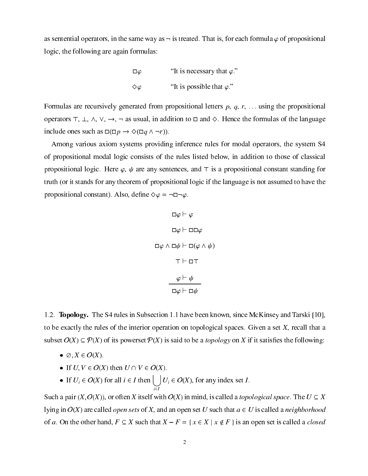as sentential operators, in the same way as  $\neg$  is treated. That is, for each formula  $\varphi$  of propositional logi
, the following are again formulas:

$$
\Box \varphi
$$
 "It is necessary that  $\varphi$ ."  
\n $\diamond \varphi$  "It is possible that  $\varphi$ ."

Formulas are recursively generated from propositional letters  $p, q, r, \ldots$  using the propositional operators  $\top$ ,  $\bot$ ,  $\land$ ,  $\lor$ ,  $\rightarrow$ ,  $\neg$  as usual, in addition to  $\Box$  and  $\diamond$ . Hence the formulas of the language include ones such as  $\square(\square p \rightarrow \Diamond(\square q \wedge \neg r)).$ 

Among various axiom systems providing inferen
e rules for modal operators, the system S4 of propositional modal logic consists of the rules listed below, in addition to those of classical propositional logic. Here  $\varphi$ ,  $\psi$  are any sentences, and  $\tau$  is a propositional constant standing for truth (or it stands for any theorem of propositional logi if the language is not assumed to have the propositional constant). Also, define  $\Diamond \varphi = \neg \Box \neg \varphi$ .

$$
\Box \varphi \vdash \varphi
$$
\n
$$
\Box \varphi \vdash \Box \Box \varphi
$$
\n
$$
\Box \varphi \land \Box \psi \vdash \Box (\varphi \land \psi)
$$
\n
$$
\top \vdash \Box \top
$$
\n
$$
\varphi \vdash \psi
$$
\n
$$
\Box \varphi \vdash \Box \psi
$$

1.2. **Topology.** The S4 rules in Subsection 1.1 have been known, since McKinsey and Tarski [10], to be exactly the rules of the interior operation on topological spaces. Given a set  $X$ , recall that a subset O(X) P(X) of its powerset P(X) is said to be a topology on X if it satis-es the following:

- ?; X <sup>2</sup> O(X).
- $\blacksquare$   $\blacksquare$   $\blacksquare$   $\blacksquare$   $\blacksquare$   $\blacksquare$   $\blacksquare$   $\blacksquare$   $\blacksquare$   $\blacksquare$   $\blacksquare$   $\blacksquare$   $\blacksquare$   $\blacksquare$   $\blacksquare$   $\blacksquare$   $\blacksquare$   $\blacksquare$   $\blacksquare$   $\blacksquare$   $\blacksquare$   $\blacksquare$   $\blacksquare$   $\blacksquare$   $\blacksquare$   $\blacksquare$   $\blacksquare$   $\blacksquare$   $\blacksquare$   $\blacksquare$   $\blacksquare$   $\blacks$
- If  $U_i \in O(X)$  for all  $i \in I$  then  $\left| \right| \left| U_i \in O(X)$ , for any index set I.  $\cdot$   $\cdot$

Such a pair  $(X, O(X))$ , or often X itself with  $O(X)$  in mind, is called a *topological space*. The  $U \subseteq X$ lying in  $O(X)$  are called *open sets* of X, and an open set U such that  $a \in U$  is called a *neighborhood* of a. On the other hand,  $F \subseteq X$  such that  $X - F = \{x \in X \mid x \notin F\}$  is an open set is called a *closed*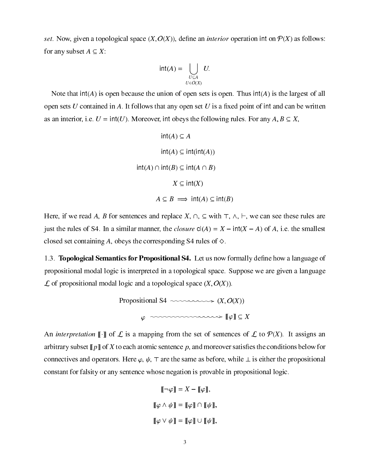set. Space (X), given a topological space (X), de-  $\mu$ , or an interior operation interior interior interior for any subset  $A \subseteq X$ :

$$
\mathsf{int}(A) = \bigcup_{\substack{U \subseteq A \\ U \in O(X)}} U.
$$

Note that  $int(A)$  is open because the union of open sets is open. Thus  $int(A)$  is the largest of all open sets I denomined in A. It follows that in A. It follows that any open set up in any of interesting that i as an interior, i.e.  $U = \text{int}(U)$ . Moreover, int obeys the following rules. For any  $A, B \subseteq X$ ,

```
int(A) \subseteq Aint(A) \subseteq int(int(A))int(A) \cap int(B) \subseteq int(A \cap B)X \subseteq \text{int}(X)A \subseteq B \implies \text{int}(A) \subseteq \text{int}(B)
```
Here, if we read A, B for sentences and replace X,  $\cap$ ,  $\subseteq$  with  $\top$ ,  $\land$ ,  $\vdash$ , we can see these rules are just the rules of S4. In a similar manner, the *closure*  $cl(A) = X - int(X - A)$  of A, i.e. the smallest closed set containing A, obeys the corresponding S4 rules of  $\diamond$ .

1.3. Topologi
al Semanti
s for Propositional S4. Let us now formally de-ne how a language of propositional modal logi is interpreted in a topologi
al spa
e. Suppose we are given a language was a topological model with a topologic model in the proposition of  $\mathcal{L}(\mathcal{L}(\mathcal{L}))$ 



An *interpretation*  $\llbracket \cdot \rrbracket$  of  $\mathcal L$  is a mapping from the set of sentences of  $\mathcal L$  to  $\mathcal P(X)$ . It assigns an arbitrary subset  $\|p\|$  to be the conditions below for and more conditions below for a constraint satisfact connectives and operators. Here  $\varphi, \psi, \tau$  are the same as before, while  $\bot$  is either the propositional onstant for falsity or any senten
e whose negation is provable in propositional logi
.

$$
\llbracket \neg \varphi \rrbracket = X - \llbracket \varphi \rrbracket,
$$
  

$$
\llbracket \varphi \land \psi \rrbracket = \llbracket \varphi \rrbracket \cap \llbracket \psi \rrbracket,
$$
  

$$
\llbracket \varphi \lor \psi \rrbracket = \llbracket \varphi \rrbracket \cup \llbracket \psi \rrbracket,
$$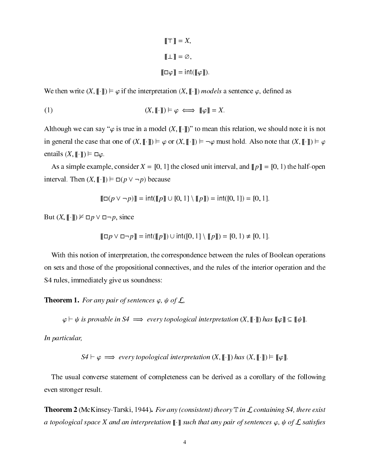$$
\llbracket \top \rrbracket = X,
$$

$$
\llbracket \bot \rrbracket = \varnothing,
$$

$$
\llbracket \Box \varphi \rrbracket = \text{int}(\llbracket \varphi \rrbracket).
$$

We then write  $(X, \| \cdot \|) \models \varphi$  if the interpretation  $(X, \| \cdot \|)$  models a sentence  $\varphi$ , defined as

$$
(1) \qquad (X, [\![\cdot]\!]) \models \varphi \iff [\![\varphi]\!] = X.
$$

Although we can say " $\varphi$  is true in a model  $(X, \llbracket \cdot \rrbracket)$ " to mean this relation, we should note it is not in general the case that one of  $(X, \llbracket \cdot \rrbracket) \models \varphi$  or  $(X, \llbracket \cdot \rrbracket) \models \neg \varphi$  must hold. Also note that  $(X, \llbracket \cdot \rrbracket) \models \varphi$ entails  $(X, \lbrack\! \lbrack \cdot \rbrack\! \rbrack) \models \Box \varphi$ .

As a simple example, consider  $X = [0, 1]$  the closed unit interval, and  $\llbracket p \rrbracket = [0, 1)$  the half-open interval. Then  $(X, \llbracket \cdot \rrbracket) \models \Box(p \lor \neg p)$  because

$$
[[\Box(p \vee \neg p)]] = \text{int}([p]] \cup [0, 1] \setminus [[p]]) = \text{int}([0, 1]) = [0, 1].
$$

But  $(X, \llbracket \cdot \rrbracket) \not\vDash \Box p \lor \Box \neg p$ , since

$$
[\![\Box p \lor \Box \neg p]\!] = \mathsf{int}([\![p]\!]) \cup \mathsf{int}([\![0,1]\!] \setminus [\![p]\!]) = [\![0,1]\!] \neq [\![0,1]\!].
$$

With this notion of interpretation, the correspondence between the rules of Boolean operations on sets and those of the propositional onne
tives, and the rules of the interior operation and the S4 rules, immediately give us soundness:

**Theorem 1.** For any pair of sentences  $\varphi$ ,  $\psi$  of  $\mathcal{L}$ ,

 $\varphi \vdash \psi$  is provable in S4  $\implies$  every topological interpretation  $(X, \llbracket \cdot \rrbracket)$  has  $\llbracket \varphi \rrbracket \subseteq \llbracket \psi \rrbracket$ .

In particular,

 $S4 \vdash \varphi \implies$  every topological interpretation  $(X, [\![\cdot]\!])$  has  $(X, [\![\cdot]\!]) \models [\![\varphi]\!].$ 

The usual onverse statement of ompleteness an be derived as a orollary of the following even stronger result.

**Theorem 2** (McKinsey-Tarski, 1944). For any (consistent) theory  $\mathbb T$  in  $\mathcal L$  containing S4, there exist a topological space X and an interpretation  $\llbracket \cdot \rrbracket$  such that any pair of sentences  $\varphi,$   $\psi$  of  $\mathcal L$  satisfies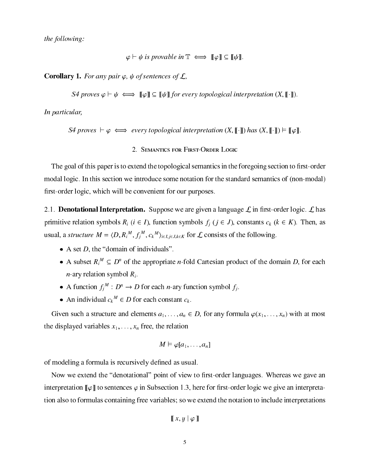the following:

$$
\varphi \vdash \psi \text{ is provable in } \mathbb{T} \iff \llbracket \varphi \rrbracket \subseteq \llbracket \psi \rrbracket.
$$

**Corollary 1.** For any pair  $\varphi$ ,  $\psi$  of sentences of  $\mathcal{L}$ ,

S4 proves  $\varphi \vdash \psi \iff \llbracket \varphi \rrbracket \subseteq \llbracket \psi \rrbracket$  for every topological interpretation  $(X, \llbracket \cdot \rrbracket)$ .

In particular,

S4 proves  $\vdash \varphi \iff$  every topological interpretation  $(X, [\![\cdot]\!])$  has  $(X, [\![\cdot]\!]) \models [\![\varphi]\!].$ 

# 2. SEMANTICS FOR FIRST-ORDER LOGIC

The goal of this paper is to extend the topologi
al semanti
s in the foregoing se
tion to -rst-order modal logic. In this section we introduce some notation for the standard semantics of (non-modal) -rst-order logi
, whi
h will be onvenient for our purposes.

. L has been at the contract interpretation. Suppose we are given a language L in - language L in - language L tion symbols and the relation symbols function of the relationship of the relationship of the relationship of the r usual, a *structure M* =  $\langle D, K_i^{\dots}, J_j^{\dots}, c_k^{\dots} \rangle_{i \in I, j \in J, k \in K}$  for L consists of the following.

- A set D, the domain of individuals.
- A subset  $R_i^\perp \subseteq D^\perp$  of the appropriate *n*-fold Cartesian product of the domain D, for each  $n$ -ary relation symbol  $R_i$ .
- A function  $f_i^{\perp}$ :  $D^{\perp} \to D$  for each *n*-ary function symbol  $f_i$ .
- An individual  $c_k$   $\in$  D for each constant  $c_k$ .

Given such a structure and elements  $a_1, \ldots, a_n \in D$ , for any formula  $\varphi(x_1, \ldots, x_n)$  with at most the displayed variables  $x_1, \ldots, x_n$  free, the relation

$$
M \vDash \varphi[a_1, \ldots, a_n]
$$

of modeling a formula is re
ursively de-ned as usual.

Now we extend the denotational point of view to -rst-order languages. Whereas we gave an interpretation  $\llbracket \varphi \rrbracket$  to sentences  $\varphi$  in Subsection 1.3, here for first-order logic we give an interpretation also to formulas ontaining free variables; so we extend the notation to in
lude interpretations

$$
\llbracket x, y \mid \varphi \rrbracket
$$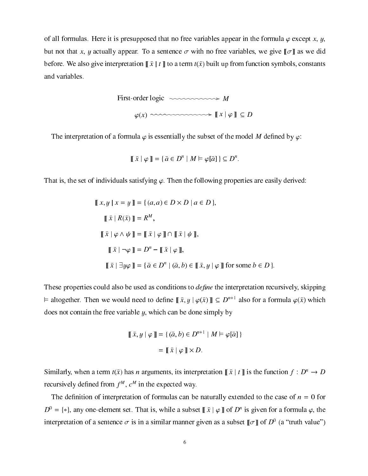of all formulas. Here it is presupposed that no free variables appear in the formula  $\varphi$  except x, y, but not that x, y actually appear. To a sentence  $\sigma$  with no free variables, we give  $\llbracket \sigma \rrbracket$  as we did before. We also give interpretation  $\[\bar{x} \mid t\]$  to a term  $t(\bar{x})$  built up from function symbols, constants and variables.

> First-order logic  $\sim$   $\sim$   $\sim$   $\sim$   $\sim$   $\sim$   $\sim$   $M$  $\varphi(x) \sim \sim \sim \sim \sim \sim \sim \sim \gg \ \ \llbracket x \mid \varphi \rrbracket \ \subseteq D$

The interpretation of a formula  $\varphi$  is essentially the subset of the model M defined by  $\varphi$ :

$$
\llbracket \bar{x} \mid \varphi \rrbracket = \{ \bar{a} \in D^n \mid M \vDash \varphi[\bar{a}] \} \subseteq D^n.
$$

That is, the set of individuals satisfying  $\varphi$ . Then the following properties are easily derived:

$$
\llbracket x, y \mid x = y \rrbracket = \{ (a, a) \in D \times D \mid a \in D \},\
$$
  

$$
\llbracket \bar{x} \mid R(\bar{x}) \rrbracket = R^M,
$$
  

$$
\llbracket \bar{x} \mid \varphi \land \psi \rrbracket = \llbracket \bar{x} \mid \varphi \rrbracket \cap \llbracket \bar{x} \mid \psi \rrbracket,\
$$
  

$$
\llbracket \bar{x} \mid \neg \varphi \rrbracket = D^n - \llbracket \bar{x} \mid \varphi \rrbracket,
$$
  

$$
\llbracket \bar{x} \mid \exists y \varphi \rrbracket = \{ \bar{a} \in D^n \mid (\bar{a}, b) \in \llbracket \bar{x}, y \mid \varphi \rrbracket \text{ for some } b \in D \}.
$$

These properties ould also be used as onditions to de-ne the interpretation re
ursively, skipping  $\vdash$  altogether. Then we would need to define  $\parallel x, y \parallel \varphi(x) \parallel \subseteq D^{n+1}$  also for a formula  $\varphi(x)$  which does not contain the free variable  $y$ , which can be done simply by

$$
\llbracket \bar{x}, y \mid \varphi \rrbracket = \{ (\bar{a}, b) \in D^{n+1} \mid M \models \varphi[\bar{a}] \}
$$

$$
= \llbracket \bar{x} \mid \varphi \rrbracket \times D.
$$

Similarly, when a term  $t(\bar{x})$  has *n* arguments, its interpretation  $\|\bar{x}\mid t\|$  is the function  $f : D^n \to D$ recursively defined from  $f^{\prime\prime}$ ,  $c^{\prime\prime\prime}$  in the expected way.

The de-nition of interpretation of formulas an be naturally extended to the ase of n <sup>=</sup> 0 for  $D^{\circ} = \{*\}$ , any one-element set. That is, while a subset  $\parallel x \parallel \varphi \parallel$  of  $D^{\circ}$  is given for a formula  $\varphi$ , the interpretation of a sentence  $\sigma$  is in a similar manner given as a subset  $\|\sigma\|$  of  $D^+$  (a fitum value)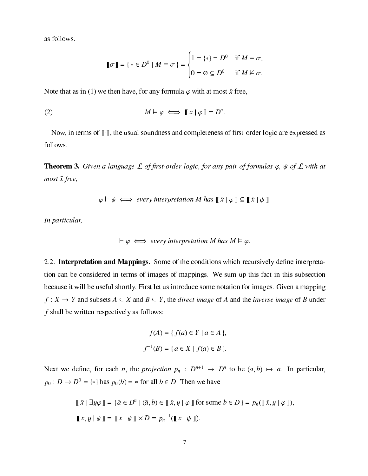as follows.

$$
\llbracket \sigma \rrbracket = \{ * \in D^0 \mid M \vDash \sigma \} = \begin{cases} 1 = \{ * \} = D^0 & \text{if } M \vDash \sigma, \\ 0 = \varnothing \subseteq D^0 & \text{if } M \nvDash \sigma. \end{cases}
$$

Note that as in (1) we then have, for any formula  $\varphi$  with at most  $\bar{x}$  free,

(2) 
$$
M \vDash \varphi \iff \llbracket \bar{x} \, \vert \, \varphi \rrbracket = D^n.
$$

rs-order logical sounds as well as and as well sound as a sound as a sound as  $\pi$  and  $\pi$  as a sound as follows.

**Theorem 3.** Given a language L of first-order logic, for any pair of formulas  $\varphi$ ,  $\psi$  of L with at most  $\bar{x}$  free,

$$
\varphi \vdash \psi \iff \text{every interpretation } M \text{ has } [\![\,\bar{x}\,] \varphi\, ]\!] \subseteq [\![\,\bar{x}\,] \psi\, ]\! ].
$$

In particular,

$$
\vdash \varphi \iff \text{every interpretation } M \text{ has } M \vDash \varphi.
$$

2.2. Interpretation and Mappings. Some of the onditions whi
h re
ursively de-ne interpretation can be considered in terms of images of mappings. We sum up this fact in this subsection be
ause it will be useful shortly. First let us introdu
e some notation for images. Given a mapping  $f: X \to Y$  and subsets  $A \subseteq X$  and  $B \subseteq Y$ , the *direct image* of A and the *inverse image* of B under  $f$  shall be written respectively as follows:

$$
f(A) = \{ f(a) \in Y \mid a \in A \},\
$$

$$
f^{-1}(B) = \{ a \in X \mid f(a) \in B \}.
$$

Next we define, for each *n*, the *projection*  $p_n : D^{n+1} \to D^{n}$  to be  $(a, b) \mapsto a$ . In particular,  $p_0: D \to D$  =  $\{*\}\$  has  $p_0(D) = *$  for all  $D \in D$ . Then we have

$$
\llbracket \bar{x} \mid \exists y \varphi \rrbracket = \{ \bar{a} \in D^n \mid (\bar{a}, b) \in \llbracket \bar{x}, y \mid \varphi \rrbracket \text{ for some } b \in D \} = p_n(\llbracket \bar{x}, y \mid \varphi \rrbracket),
$$
  

$$
\llbracket \bar{x}, y \mid \psi \rrbracket = \llbracket \bar{x} \mid \psi \rrbracket \times D = p_n^{-1}(\llbracket \bar{x} \mid \psi \rrbracket).
$$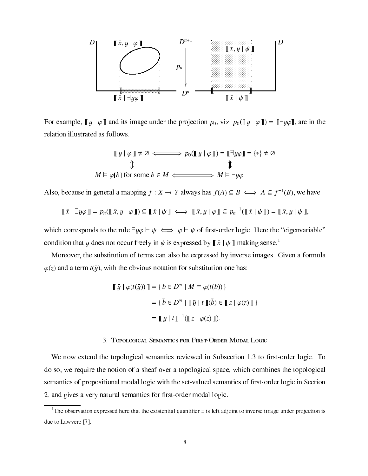

For example,  $\llbracket y \mid \varphi \rrbracket$  and its image under the projection  $p_0$ , viz.  $p_0(\llbracket y \mid \varphi \rrbracket) = \llbracket \exists y \varphi \rrbracket$ , are in the relation illustrated as follows.

$$
\llbracket y | \varphi \rrbracket \neq \emptyset \iff p_0(\llbracket y | \varphi \rrbracket) = \llbracket \exists y \varphi \rrbracket = \{ * \} \neq \emptyset
$$
  

$$
\Downarrow \qquad \qquad \Downarrow
$$
  

$$
M \vDash \varphi[b] \text{ for some } b \in M \iff M \vDash \exists y \varphi
$$

Also, because in general a mapping f  $: A \to I$  always has  $f(A) \subseteq D \iff A \subseteq I$  (b), we have

$$
\llbracket \bar{x} \mid \exists y \varphi \rrbracket = p_n(\llbracket \bar{x}, y \mid \varphi \rrbracket) \subseteq \llbracket \bar{x} \mid \psi \rrbracket \iff \llbracket \bar{x}, y \mid \varphi \rrbracket \subseteq p_n^{-1}(\llbracket \bar{x} \mid \psi \rrbracket) = \llbracket \bar{x}, y \mid \psi \rrbracket,
$$

which corresponds to the rule  $\exists y \varphi \vdash \psi \iff \varphi \vdash \psi$  of first-order logic. Here the "eigenvariable" condition that y does not occur freely in  $\psi$  is expressed by  $\llbracket \bar{x} \mid \psi \rrbracket$  making sense.<sup>1</sup>

Moreover, the substitution of terms an also be expressed by inverse images. Given a formula  $\varphi(z)$  and a term  $t(\bar{y})$ , with the obvious notation for substitution one has:

$$
\llbracket \bar{y} \mid \varphi(t(\bar{y})) \rrbracket = \{ \bar{b} \in D^m \mid M \models \varphi(t(\bar{b})) \}
$$

$$
= \{ \bar{b} \in D^m \mid \llbracket \bar{y} \mid t \rrbracket(\bar{b}) \in \llbracket z \mid \varphi(z) \rrbracket \}
$$

$$
= \llbracket \bar{y} \mid t \rrbracket^{-1} (\llbracket z \mid \varphi(z) \rrbracket).
$$

#### 3. TOPOLOGICAL SEMANTICS FOR FIRST-ORDER MODAL LOGIC

We now extend the topologi
al semanti
s reviewed in Subse
tion 1.3 to -rst-order logi
. To do so, we require the notion of a sheaf over a topological space, which combines the topological s of the set-valued semantic service services in the semantic semantic service service service semantic service 2, and gives a very natural semanti
s for -rst-order modal logi
.

The observation expressed here that the existential quantilier  $\exists$  is left adjoint to inverse image under projection is due to Lawvere [7].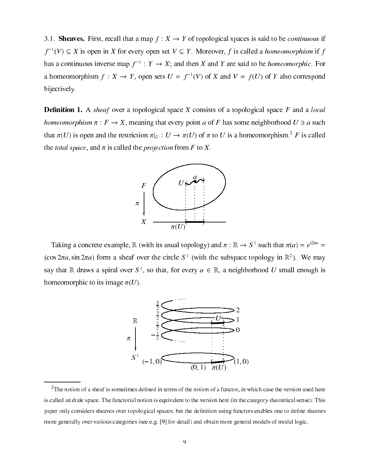3.1. Sheaves. First, recall that a map  $f: X \to Y$  of topological spaces is said to be *continuous* if  $f^{-1}(V) \subseteq X$  is open in X for every open set  $V \subseteq Y$ . Moreover, f is called a *homeomorphism* if f has a continuous inverse map  $f^{-1}: Y \to X$ ; and then X and Y are said to be *homeomorphic*. For a homeomorphism  $f: X \to Y$ , open sets  $U = f^{-1}(V)$  of X and  $V = f(U)$  of Y also correspond bijectively.

**Definition 1.** A sheaf over a topological space X consists of a topological space  $F$  and a local homeomorphism  $\pi$ :  $F \to X$ , meaning that every point a of F has some neighborhood  $U \ni a$  such that  $\pi(U)$  is open and the restriction  $\pi|_U: U \to \pi(U)$  of  $\pi$  to U is a homeomorphism.<sup>2</sup> F is called the *total space*, and  $\pi$  is called the *projection* from F to X.



Taking a concrete example,  $\mathbb R$  (with its usual topology) and  $\pi : \mathbb R \to S^1$  such that  $\pi(a) = e^{i2\pi a}$  $(\cos 2\pi a, \sin 2\pi a)$  form a sheaf over the circle  $S^1$  (with the subspace topology in  $\mathbb{R}^2$ ). We may say that R draws a spiral over  $S^1$ , so that, for every  $a \in \mathbb{R}$ , a neighborhood U small enough is homeomorphic to its image  $\pi(U)$ .



 ${}^{2}$ The notion of a sheaf is sometimes defined in terms of the notion of a functor, in which case the version used here is called an étale space. The functorial notion is equivalent to the version here (in the category-theoretical sense). This paper only considers sheaves over topological spaces; but the definition using functors enables one to define sheaves more generally over various categories (see e.g. [9] for detail) and obtain more general models of modal logic.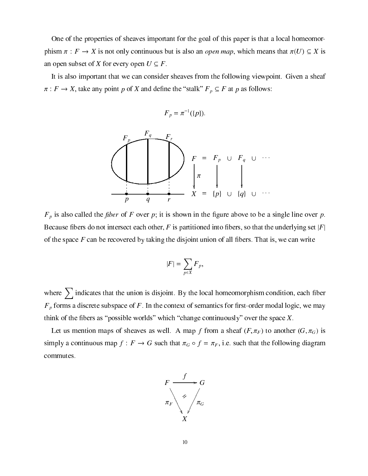One of the properties of sheaves important for the goal of this paper is that a local homeomorphism  $\pi : F \to X$  is not only continuous but is also an *open map*, which means that  $\pi(U) \subseteq X$  is an open subset of X for every open  $U \subseteq F$ .

It is also important that we can consider sheaves from the following viewpoint. Given a sheaf : For the state and definition  $p = 1$  and definition  $p = 1$ 

$$
F_p = \pi^{-1}(\{p\}).
$$



Fp is also alled the -ber of F over p; it is shown in the -gure above to be a single line over p. bers do not intersected in the underlying set into a partition the underlying set in the underlying set jp is of the space for the space of all - the disjoint union of all - that is, we are the disjoint union of all - th

$$
|F| = \sum_{p \in X} F_p,
$$

where  $\sum$  indicates that the union is disjoint. By the local homeomorphism condition, each fiber retensive subspace of the semantic subspace of the semantic semantic series and the semantic  $\rho_{\beta}$  , we man think of the -bers as possible worlds whi
h hange ontinuously over the spa
e X.

Let us mention maps of sheaves as well. A map f from a sheaf  $(F, \pi_F)$  to another  $(G, \pi_G)$  is simply a continuous map  $f : F \to G$  such that  $\pi_G \circ f = \pi_F$ , i.e. such that the following diagram ommutes.

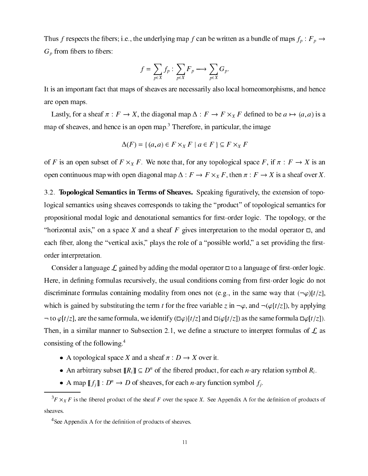Thus f respects the fibers; i.e., the underlying map f can be written as a bundle of maps  $f_p : F_p \to F$  $G_p$  from fibers to fibers:

$$
f = \sum_{p \in X} f_p : \sum_{p \in X} F_p \longrightarrow \sum_{p \in X} G_p.
$$

It is an important fact that maps of sheaves are necessarily also local homeomorphisms, and hence are open maps.

Lastly, for a sheaf  $\pi : F \to X$ , the diagonal map  $\Delta : F \to F \times_X F$  defined to be  $a \mapsto (a, a)$  is a map of sheaves, and hence is an open map.<sup>3</sup> Therefore, in particular, the image

$$
\Delta(F) = \{ (a, a) \in F \times_X F \mid a \in F \} \subseteq F \times_X F
$$

of F is an open subset of  $F \times_X F$ . We note that, for any topological space F, if  $\pi : F \to X$  is an open continuous map with open diagonal map  $\Delta: F \to F \times_X F$ , then  $\pi: F \to X$  is a sheaf over X.

3.2. Topological Semantics in Terms of Sheaves. Speaking figuratively, the extension of topological semantics using sheaves corresponds to taking the "product" of topological semantics for propositional modal logic and denotational semantics for first-order logic. The topology, or the "horizontal axis," on a space X and a sheaf F gives interpretation to the modal operator  $\Box$ , and each fiber, along the "vertical axis," plays the role of a "possible world," a set providing the firstorder interpretation.

Consider a language  $\mathcal L$  gained by adding the modal operator  $\Box$  to a language of first-order logic. Here, in defining formulas recursively, the usual conditions coming from first-order logic do not discriminate formulas containing modality from ones not (e.g., in the same way that  $(\neg \varphi)[t/\overline{z}]$ , which is gained by substituting the term t for the free variable z in  $\neg \varphi$ , and  $\neg (\varphi[t/z])$ , by applying  $\lnot$  to  $\varphi[t/z]$ , are the same formula, we identify  $(\Box \varphi)[t/z]$  and  $\Box(\varphi[t/z])$  as the same formula  $\Box \varphi[t/z])$ . Then, in a similar manner to Subsection 2.1, we define a structure to interpret formulas of  $\mathcal L$  as consisting of the following.<sup>4</sup>

- A topological space X and a sheaf  $\pi : D \to X$  over it.
- An arbitrary subset  $[[R_i]] \subseteq D^n$  of the fibered product, for each *n*-ary relation symbol  $R_i$ .
- A map  $[[f_i]] : D^n \to D$  of sheaves, for each *n*-ary function symbol  $f_i$ .

 ${}^{3}F \times_{X} F$  is the fibered product of the sheaf F over the space X. See Appendix A for the definition of products of sheaves.

 $<sup>4</sup>$ See Appendix A for the definition of products of sheaves.</sup>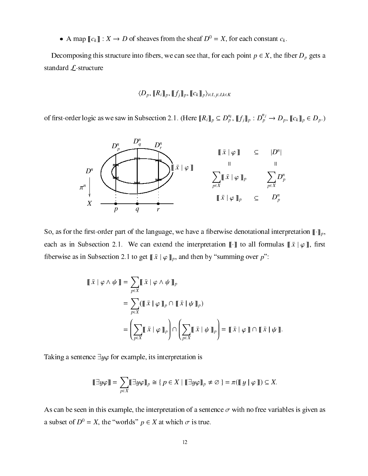• A map  $||c_k||: \Lambda \to D$  of sheaves from the sheaf  $D^* = \Lambda$ , for each constant  $c_k$ .

De
omposing this stru
ture into -bers, we an see that, for ea
h point p <sup>2</sup> X, the -ber Dp gets <sup>a</sup> standard  $\mathcal{L}$ -structure

#### $\lambda = \nu$  , ii  $\lambda = \mu$  in  $\lambda$  , ii ii  $\lambda$  , ii  $\lambda$  ii ii  $\lambda$  ii  $\lambda$  ii  $\lambda$  ii  $\lambda$  ii  $\lambda$

of first-order logic as we saw in Subsection 2.1. (Here  $\|R_i\|_p \subseteq D_p^{n}$ ,  $\|f_i\|_p : D_p^{n'} \to D_p$ ,  $\|c_k\|_p \in D_p$ .)



So, as for the -rst-order part of the language, we have a -berwise denotational interpretation ~p, each as in Subsection 2.1. We can extend the interpretation  $\llbracket \cdot \rrbracket$  to all formulas  $\llbracket x \mid \varphi \rrbracket$ , first heerwise as in Subsection 2.1 to get  $\llbracket x \mid \varphi \rrbracket_p$ , and then by "summing over  $p$ ":

$$
\llbracket \bar{x} \mid \varphi \wedge \psi \rrbracket = \sum_{p \in X} \llbracket \bar{x} \mid \varphi \wedge \psi \rrbracket_p
$$
  
= 
$$
\sum_{p \in X} (\llbracket \bar{x} \mid \varphi \rrbracket_p \cap \llbracket \bar{x} \mid \psi \rrbracket_p)
$$
  
= 
$$
\left( \sum_{p \in X} \llbracket \bar{x} \mid \varphi \rrbracket_p \right) \cap \left( \sum_{p \in X} \llbracket \bar{x} \mid \psi \rrbracket_p \right) = \llbracket \bar{x} \mid \varphi \rrbracket \cap \llbracket \bar{x} \mid \psi \rrbracket.
$$

Taking a sentence  $\exists y \varphi$  for example, its interpretation is

$$
[\![\exists y \varphi]\!] = \sum_{p \in X} [\![\exists y \varphi]\!]_p \cong \{p \in X \mid [\![\exists y \varphi]\!]_p \neq \varnothing\} = \pi([\![y \mid \varphi]\!]) \subseteq X.
$$

As can be seen in this example, the interpretation of a sentence  $\sigma$  with no free variables is given as a subset of  $D^* = X$ , the worlds  $p \in X$  at which  $\sigma$  is true.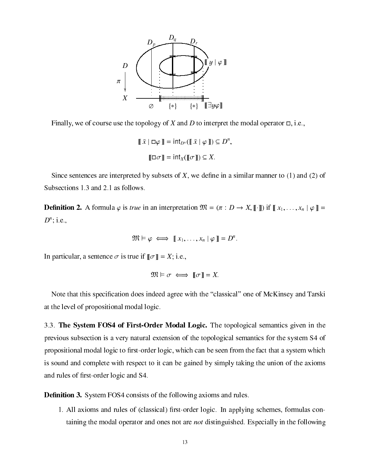

Finally, we of course use the topology of X and D to interpret the modal operator  $\Box$ , i.e.,

$$
\llbracket \bar{x} \mid \Box \varphi \rrbracket = \text{int}_{D^n} (\llbracket \bar{x} \mid \varphi \rrbracket) \subseteq D^n,
$$

$$
\llbracket \Box \sigma \rrbracket = \text{int}_X (\llbracket \sigma \rrbracket) \subseteq X.
$$

exceed are interested by subsets of the side of the similar manner to sent the similar manner to (2) and (2) of Subse
tions 1.3 and 2.1 as follows.

**Definition 2.** A formula  $\varphi$  is true in an interpretation  $\mathcal{W} = (\pi : D \to X, \llbracket \cdot \rrbracket)$  if  $\llbracket x_1, \ldots, x_n \mid \varphi \rrbracket =$  $D^{\sim}$ , i.e.,

$$
\mathfrak{M} \vDash \varphi \iff [[x_1, \ldots, x_n] \varphi]] = D^n.
$$

In particular, a sentence  $\sigma$  is true if  $\llbracket \sigma \rrbracket = X$ ; i.e.,

$$
\mathfrak{M} \vDash \sigma \iff \llbracket \sigma \rrbracket = X.
$$

Note that this spe
i-ation does indeed agree with the lassi
al one of M
Kinsey and Tarski at the level of propositional modal logi
.

3.3. The System FOS4 of First-Order Modal Logi
. The topologi
al semanti
s given in the previous subse
tion is a very natural extension of the topologi
al semanti
s for the system S4 of propositional modal logi to -rst-order logi
, whi
h an be seen from the fa
t that a system whi
h is sound and complete with respect to it can be gained by simply taking the union of the axioms and rules of -rst-order logi and S4.

De-nition 3. System FOS4 onsists of the following axioms and rules.

1. All axioms and rules of (
lassi
al) -rst-order logi
. In applying s
hemes, formulas ontaining the modal operator and ones not are *not* distinguished. Especially in the following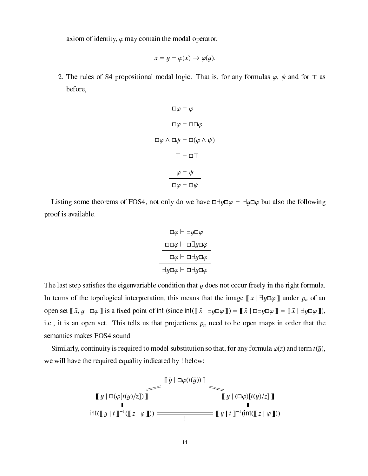axiom of identity,  $\varphi$  may contain the modal operator.

$$
x = y \vdash \varphi(x) \to \varphi(y).
$$

2. The rules of S4 propositional modal logic. That is, for any formulas  $\varphi$ ,  $\psi$  and for  $\tau$  as before,

$$
\Box \varphi \vdash \varphi
$$
\n
$$
\Box \varphi \vdash \Box \Box \varphi
$$
\n
$$
\Box \varphi \land \Box \psi \vdash \Box (\varphi \land \psi)
$$
\n
$$
\top \vdash \Box \top
$$
\n
$$
\varphi \vdash \psi
$$
\n
$$
\Box \varphi \vdash \Box \psi
$$

Listing some theorems of FOS4, not only do we have  $\Box y \Box \varphi \vdash \exists y \Box \varphi$  but also the following proof is available.

. – <del>.</del>

$$
\frac{\Box \varphi \vdash \exists y \Box \varphi}
$$
\n
$$
\frac{\Box \Box \varphi \vdash \Box \exists y \Box \varphi}{\Box \varphi \vdash \Box \exists y \Box \varphi}
$$
\n
$$
\frac{\Box \varphi \vdash \Box \exists y \Box \varphi}{\exists y \Box \varphi}
$$

the ensign freely in the right condition in the right formula. The right formula is a second formula In terms of the topological interpretation, this means that the image  $\llbracket \bar{x} \rVert \exists y \Box \varphi \rrbracket$  under  $p_n$  of an open set  $x, y \mid \Box \varphi$  is a fixed point of int (since int( $\llbracket x \mid \exists y \Box \varphi \rrbracket$ ) =  $\llbracket x \mid \Box \exists y \Box \varphi \rrbracket$  =  $\llbracket x \mid \exists y \Box \varphi \rrbracket$ ), i.e., it is an open set. This tells us that projections  $p_n$  need to be open maps in order that the semantics makes FOS4 sound.

Similarly, continuity is required to model substitution so that, for any formula  $\varphi(z)$  and term  $t(\bar{y})$ , we will have the required equality indicated by ! below:

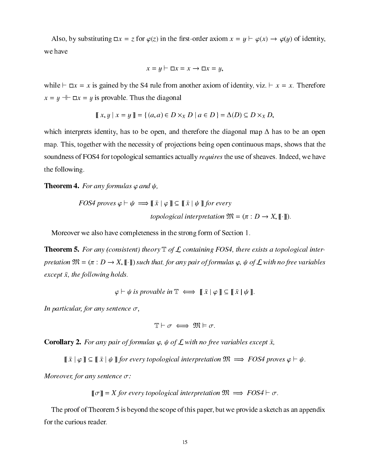Also, by substituting  $\Box x = z$  for  $\varphi(z)$  in the first-order axiom  $x = y \vdash \varphi(x) \rightarrow \varphi(y)$  of identity, we have

$$
x = y \vdash \Box x = x \rightarrow \Box x = y,
$$

while  $\vdash \Box x = x$  is gained by the S4 rule from another axiom of identity, viz.  $\vdash x = x$ . Therefore  $x = y + \square x = y$  is provable. Thus the diagonal

$$
\parallel x, y \parallel x = y \parallel = \{ (a, a) \in D \times_X D \mid a \in D \} = \Delta(D) \subseteq D \times_X D,
$$

which interprets identity, has to be open, and therefore the diagonal map  $\Delta$  has to be an open map. This, together with the ne
essity of proje
tions being open ontinuous maps, shows that the soundness of FOS4 for topological semantics actually *requires* the use of sheaves. Indeed, we have the following.

# **Theorem 4.** For any formulas  $\varphi$  and  $\psi$ ,

$$
FOS4 \text{ proves } \varphi \vdash \psi \implies [\![\bar{x} \mid \varphi \!] ] \subseteq [\![\bar{x} \mid \psi \!] \text{ for every}
$$
  
topological interpretation  $\mathfrak{M} = (\pi : D \to X, [\![\cdot]\!]).$ 

Moreover we also have completeness in the strong form of Section 1.

**Theorem 5.** For any (consistent) theory  $\mathbb{T}$  of  $\mathcal{L}$  containing FOS4, there exists a topological interpretation  $\mathfrak{M} = (\pi : D \to X, \llbracket \cdot \rrbracket)$  such that, for any pair of formulas  $\varphi, \psi$  of  $\mathcal L$  with no free variables except  $\bar{x}$ , the following holds.

 $\varphi \vdash \psi$  is provable in  $\mathbb{T} \iff \mathbb{T} \times |\varphi| \subseteq \mathbb{T} \times |\psi|$ .

In particular, for any sentence  $\sigma$ ,

$$
\mathbb{T}\vdash \sigma \iff \mathfrak{M}\vDash \sigma.
$$

**Corollary 2.** For any pair of formulas  $\varphi$ ,  $\psi$  of  $\mathcal{L}$  with no free variables except  $\bar{x}$ ,

 $\parallel x \parallel \varphi \parallel \leq \parallel x \parallel \psi \parallel$  for every topological interpretation  $\mathcal{W} \implies$  FOS4 proves  $\varphi \vdash \psi$ .

Moreover, for any sentence  $\sigma$ :

$$
[\![\sigma]\!]
$$
 = X for every topological interpretation  $\mathfrak{M} \implies FOS4 \vdash \sigma$ .

The proof of Theorem 5 is beyond the scope of this paper, but we provide a sketch as an appendix for the curious reader.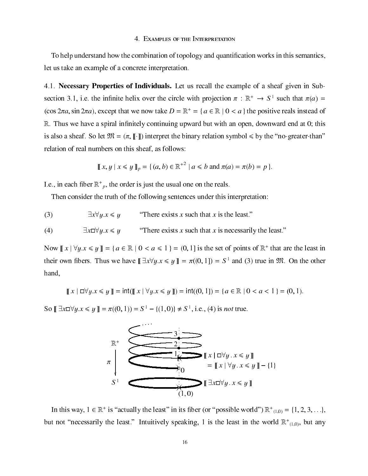# 4. EXAMPLES OF THE INTERPRETATION

To help understand how the combination of topology and quantification works in this semantics, let us take an example of a concrete interpretation.

4.1. Necessary Properties of Individuals. Let us recall the example of a sheaf given in Subsection 3.1, i.e. the infinite helix over the circle with projection  $\pi : \mathbb{R}^+ \to S^1$  such that  $\pi(a)$  =  $(\cos 2\pi a, \sin 2\pi a)$ , except that we now take  $D = \mathbb{R}^+ = \{a \in \mathbb{R} \mid 0 \le a\}$  the positive reals instead of  $\mathbb R$ . Thus we have a spiral infinitely continuing upward but with an open, downward end at 0; this is also a sheaf. So let  $\mathfrak{M} = (\pi, \llbracket \cdot \rrbracket)$  interpret the binary relation symbol  $\leq$  by the "no-greater-than" relation of real numbers on this sheaf, as follows:

$$
[[x,y] \ x \le y]_{p} = \{(a,b) \in \mathbb{R}^{+2} \mid a \le b \text{ and } \pi(a) = \pi(b) = p \}.
$$

I.e., in each fiber  $\mathbb{R}^+$ , the order is just the usual one on the reals.

Then consider the truth of the following sentences under this interpretation:

 $(3)$  $\exists x \forall u.x \leq u$ "There exists x such that x is the least."

 $\exists x \Box \forall y.x \leq y$ "There exists x such that x is necessarily the least."  $(4)$ 

Now  $||x|| \forall y.x \leq y || = \{a \in \mathbb{R} \mid 0 < a \leq 1\} = (0, 1]$  is the set of points of  $\mathbb{R}^+$  that are the least in their own fibers. Thus we have  $[\exists x \forall y \cdot x \leq y] = \pi((0, 1]) = S^1$  and (3) true in  $\mathfrak{M}$ . On the other hand,

 $\llbracket x \mid \Box \forall y. x \leq y \rrbracket = \text{int}(\llbracket x \mid \forall y. x \leq y \rrbracket) = \text{int}((0,1)) = \{a \in \mathbb{R} \mid 0 < a < 1 \} = (0,1).$ 

So  $\mathbb{R} \exists x \Box \forall y \, x \leq y \mathbb{R} = \pi((0, 1)) = S^1 - \{(1, 0)\} \neq S^1$ , i.e., (4) is not true.



In this way,  $1 \in \mathbb{R}^+$  is "actually the least" in its fiber (or "possible world")  $\mathbb{R}^+_{(1,0)} = \{1, 2, 3, \ldots\}$ but not "necessarily the least." Intuitively speaking, 1 is the least in the world  $\mathbb{R}^+$ <sub>(1,0)</sub>, but any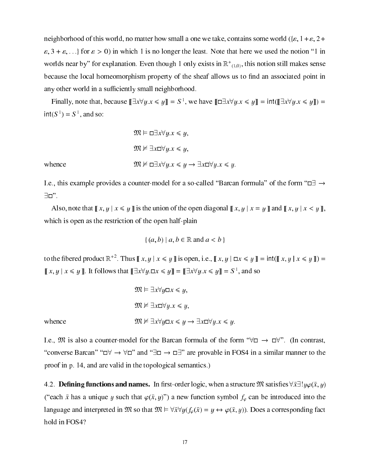neighborhood of this world, no matter how small a one we take, contains some world ({ $\varepsilon$ , 1 +  $\varepsilon$ , 2 + "; 3 <sup>+</sup> "; : : :g for " <sup>&</sup>gt; 0) in whi
h 1 is no longer the least. Note that here we used the notion 1 in worlds near by flor explanation. Even though 1 only exists in  $\mathbb{K}_{(1,0)}$ , this notion still makes sense be
ause the lo
al homeomorphism property of the sheaf allows us to -nd an asso
iated point in any other world in a sufficiently small neighborhood.

Finally, note that, because  $||\exists x \lor y: x \leq y|| = S$ ; we have  $||\exists x \lor y: x \leq y|| = ||\sin(\| \exists x \lor y: x \leq y||) =$  $\ln(3^\circ) = 3^\circ$ , and so:

$$
\mathfrak{M} \vDash \Box \exists x \forall y. x \leq y,
$$
  

$$
\mathfrak{M} \nvDash \exists x \Box \forall y. x \leq y,
$$
  

$$
\mathfrak{M} \nvDash \Box \exists x \forall y. x \leq y \rightarrow \exists x \Box \forall y. x \leq y
$$

whence

I.e., this example provides a counter-model for a so-called "Barcan formula" of the form " $\Box \rightarrow$  $\exists$ D".

Also, note that  $\llbracket x, y \mid x \leq y \rrbracket$  is the union of the open diagonal  $\llbracket x, y \mid x = y \rrbracket$  and  $\llbracket x, y \mid x \leq y \rrbracket$ , which is open as the restriction of the open half-plain

$$
\{(a,b) \mid a,b \in \mathbb{R} \text{ and } a < b\}
$$

to the -bered product  $\mathbb{R}^+$ . Thus  $\parallel x, y \parallel x \leq y \parallel$  is open, i.e.,  $\parallel x, y \parallel \Box x \leq y \parallel = \text{int}(\parallel x, y \parallel x \leq y \parallel) =$  $\parallel x, y \parallel x \leq y \parallel$ . It follows that  $\parallel \exists x \vee y. \Box x \leq y \parallel \equiv \parallel \exists x \vee y. x \leq y \parallel \equiv S^{-}$ , and so

$$
\mathfrak{M} \vDash \exists x \forall y \Box x \leq y,
$$
  

$$
\mathfrak{M} \nvDash \exists x \Box \forall y . x \leq y,
$$
  
whence  

$$
\mathfrak{M} \nvDash \exists x \forall y \Box x \leq y \rightarrow \exists x \Box \forall y . x \leq y.
$$

I.e.,  $\mathfrak{M}$  is also a counter-model for the Barcan formula of the form " $\forall \Box \rightarrow \Box \forall$ ". (In contrast, "converse Barcan" " $\Box \forall \rightarrow \forall \Box$ " and " $\Box \Box \rightarrow \Box \exists$ " are provable in FOS4 in a similar manner to the proof in p. 14, and are valid in the topological semantics.)

4.2. Defining functions and names. In first-order logic, when a structure  $\mathcal{Y}\iota$  satisfies  $\forall x \exists ! y \varphi(x,y)$ ("each  $\bar{x}$  has a unique y such that  $\varphi(\bar{x}, y)$ ") a new function symbol  $f_{\varphi}$  can be introduced into the language and interpreted in  $\mathfrak{M}$  so that  $\mathfrak{M} \models \forall \bar{x} \forall y (f_{\varphi}(\bar{x}) = y \leftrightarrow \varphi(\bar{x}, y))$ . Does a corresponding fact hold in FOS4?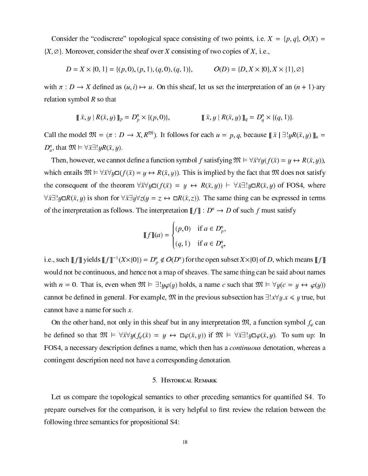Consider the "codiscrete" topological space consisting of two points, i.e.  $X = \{p, q\}, O(X) =$  $\{X, \emptyset\}$ . Moreover, consider the sheaf over X consisting of two copies of X, i.e.,

$$
D = X \times \{0, 1\} = \{(p, 0), (p, 1), (q, 0), (q, 1)\}, \qquad O(D) = \{D, X \times \{0\}, X \times \{1\}, \emptyset\}
$$

with  $\alpha$  is defined as (u, i)  $\alpha$  and interpretation of an except the interpretation of  $\alpha$  ary  $\alpha$ relation symbol  $R$  so that

$$
\llbracket \bar{x}, y \mid R(\bar{x}, y) \rrbracket_p = D_p^n \times \{(p, 0)\}, \qquad \llbracket \bar{x}, y \mid R(\bar{x}, y) \rrbracket_q = D_q^n \times \{(q, 1)\}.
$$

Call the model  $\mathfrak{M} = (\pi : D \to X, R^{\mathfrak{M}})$ . It follows for each  $u = p, q$ , because  $|| \bar{x} || \exists ! y R(\bar{x}, y) ||_{u}$  $D_u^{\scriptscriptstyle\cdot}$ , that  $\mathcal{Y}\mathcal{X} \vdash \forall x \exists ! y \mathbf{K}(x, y)$ .

then, however, we allowed the second contract the second term in the second contract of the second contract of which entails  $\mathfrak{M} \models \forall \bar{x} \forall y \Box (f(\bar{x}) = y \leftrightarrow R(\bar{x}, y))$ . This is implied by the fact that  $\mathfrak{M}$  does not satisfy the consequent of the theorem  $\forall \bar{x} \forall y \Box(f(\bar{x}) = y \leftrightarrow R(\bar{x}, y)) \vdash \forall \bar{x} \exists ! y \Box R(\bar{x}, y)$  of FOS4, where  $\forall \bar{x} \exists ! y \Box R(\bar{x}, y)$  is short for  $\forall \bar{x} \exists y \forall z (y = z \leftrightarrow \Box R(\bar{x}, z))$ . The same thing can be expressed in terms of the interpretation as follows. The interpretation  $\llbracket f \rrbracket : D^n \to D$  of such f must satisfy

$$
\llbracket f \rrbracket(a) = \begin{cases} (p,0) & \text{if } a \in D_p^n, \\ (q,1) & \text{if } a \in D_q^n, \end{cases}
$$

1.e., such [[J]] yields [[J]]  $^-(X \times \{0\}) = D_p^+ \notin O(D^+)$  for the open subset  $X \times \{0\}$  of D, which means [[J]] would not be continuous, and hence not a map of sheaves. The same thing can be said about names with  $n = 0$ . That is, even when  $\mathfrak{M} \models \exists! y \varphi(y)$  holds, a name c such that  $\mathfrak{M} \models \forall y (c = y \leftrightarrow \varphi(y))$ tion be de-serveral. For example, M is the previous subsettion of the previous subsettion  $\mathbf{y}$ cannot have a name for such  $x$ .

On the other hand, not only in this sheaf but in any interpretation  $\mathfrak{M}$ , a function symbol  $f_{\varphi}$  can be defined so that  $\mathcal{Y}U \vDash \forall x \forall y (f_{\varphi}(x) = y \leftrightarrow \Box \varphi(x, y))$  if  $\mathcal{Y}U \vDash \forall x \exists ! y \Box \varphi(x, y)$ . To sum up: In FOS4, a ne
essary des
ription de-nes a name, whi
h then has a ontinuous denotation, whereas a ontingent des
ription need not have a orresponding denotation.

# 5. HISTORICAL REMARK

Let us ompare the topologi
al semanti
s to other pre
eding semanti
s for quanti-ed S4. To prepare consistent for the recognization, it is very dispense to answer the reduction between  $\alpha$ following three semanti
s for propositional S4: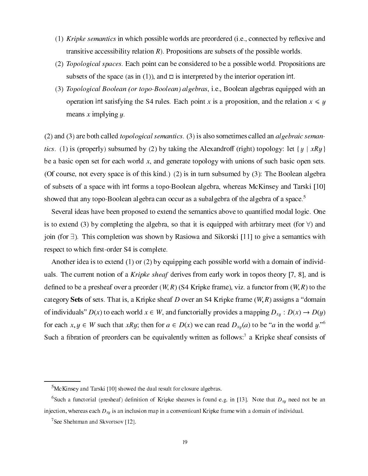- (1) Kripke semantics in which possible worlds are preordered (i.e., connected by reflexive and transitive accessibility relation  $R$ ). Propositions are subsets of the possible worlds.
- (2) *Topological spaces*. Each point can be considered to be a possible world. Propositions are subsets of the space (as in (1)), and  $\square$  is interpreted by the interior operation int.
- (3) Topological Boolean (or topo-Boolean) algebras, i.e., Boolean algebras equipped with an operation int satisfying the S4 rules. Each point x is a proposition, and the relation  $x \leq y$ means x implying  $y$ .

 $(2)$  and  $(3)$  are both called *topological semantics*.  $(3)$  is also sometimes called an *algebraic seman*tics. (1) is (properly) subsumed by (2) by taking the Alexandroff (right) topology: let  $\{y \mid xRy\}$ be a basic open set for each world  $x$ , and generate topology with unions of such basic open sets. (Of ourse, not every spa
e is of this kind.) (2) is in turn subsumed by (3): The Boolean algebra of subsets of a space with int forms a topo-Boolean algebra, whereas McKinsey and Tarski [10] showed that any topo-Boolean algebra can occur as a subalgebra of the algebra of a space.<sup>5</sup>

Several ideas have been proposed to extend the semanti
s above to quanti-ed modal logi
. One is to extend (3) by completing the algebra, so that it is equipped with arbitrary meet (for  $\forall$ ) and join (for  $\exists$ ). This completion was shown by Rasiowa and Sikorski [11] to give a semantics with respectively. The total control to which is to which the state of the state of the state of the state of the state of the state of the state of the state of the state of the state of the state of the state of the state of

Another idea is to extend  $(1)$  or  $(2)$  by equipping each possible world with a domain of individuals. The current notion of a *Kripke sheaf* derives from early work in topos theory [7, 8], and is de-cober and to be a presheaf over a presheaf over a preorder (W; R) (S4 Kripke frame), viz. a function of the category Sets of sets. That is, a Kripke sheaf D over an S4 Kripke frame  $(W, R)$  assigns a "domain" of individuals"  $D(x)$  to each world  $x \in W$ , and functorially provides a mapping  $D_{xy} : D(x) \to D(y)$ for each  $x, y \in W$  such that  $xRy$ ; then for  $a \in D(x)$  we can read  $D_{xy}(a)$  to be a in the world y. Such a fibration of preorders can be equivalently written as follows: a Kripke sheaf consists of

<sup>&</sup>lt;sup>5</sup>McKinsey and Tarski [10] showed the dual result for closure algebras.

Such a functorial (presheaf) definition of Kripke sheaves is found e.g. in [13]. Note that  $D_{x}$  need not be an injection, whereas each  $D_{x,y}$  is an inclusion map in a conventioanl Kripke frame with a domain of individual.

See Shehtman and Skvortsov [12].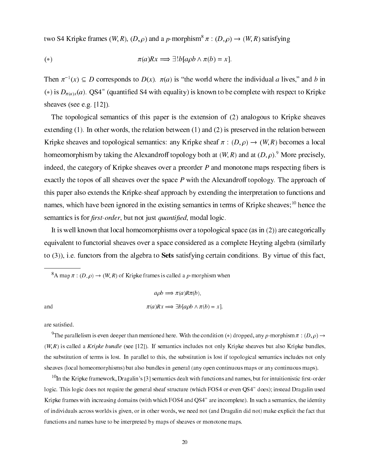two S4 Kripke frames  $(W, K)$ ,  $(D, \rho)$  and a p-morphism  $\pi : (D, \rho) \rightarrow (W, K)$  satisfying

(\*) 
$$
\pi(a)Rx \implies \exists! b [a\rho b \land \pi(b) = x].
$$

Then  $\pi^{-1}(x) \subseteq D$  corresponds to  $D(x)$ .  $\pi(a)$  is the world where the individual a lives, and b in (\*) is  $D_{\pi(a)x}(a)$ . QS4 – (quantified S4 with equality) is known to be complete with respect to Kripke sheaves (see e.g.  $[12]$ ).

The topological semantics of this paper is the extension of (2) analogous to Kripke sheaves extending (1). In other words, the relation between (1) and (2) is preserved in the relation between Kripke sheaves and topological semantics: any Kripke sheaf  $\pi$  :  $(D, \rho) \rightarrow (W, R)$  becomes a local homeomorphism by taking the Alexandroff topology both at  $(W, R)$  and at  $(D, \rho)$ .<sup>9</sup> More precisely, indeed, the ategory of Kripke sheaves over a preorder P and monotone maps respe
ting -bers is exactly the topos of all sheaves over the space  $P$  with the Alexandroff topology. The approach of this paper also extends the Kripke-sheaf approach by extending the interpretation to functions and names, which have been ignored in the existing semantics in terms of Kripke sheaves;<sup>10</sup> hence the s is for a strong term of the strong product of the strong product of the strong product of the strong product

It is well known that local homeomorphisms over a topological space (as in  $(2)$ ) are categorically equivalent to functorial sheaves over a space considered as a complete Heyting algebra (similarly to  $(3)$ ), i.e. functors from the algebra to **Sets** satisfying certain conditions. By virtue of this fact,

A map  $\pi$  :  $(D, \rho) \to (W, K)$  of Kripke frames is called a p-morphism when

$$
a\rho b \implies \pi(a)R\pi(b),
$$
  
and  

$$
\pi(a)Rx \implies \exists b[a\rho b \land \pi(b) = x].
$$

The parallelism is even deeper than mentioned here. With the condition (\*) dropped, any p-morphism  $\pi$  : (D,  $\rho$ )  $\rightarrow$  $(W, R)$  is called a Kripke bundle (see [12]). If semantics includes not only Kripke sheaves but also Kripke bundles, the substitution of terms is lost. In parallel to this, the substitution is lost if topological semantics includes not only sheaves (local homeomorphisms) but also bundles in general (any open continuous maps or any continuous maps).

<sup>10</sup>In the Kripke framework, Dragalin's [3] semantics dealt with functions and names, but for intuitionistic first-order logic. This logic does not require the general sheaf structure (which FOS4 or even QS4 - does); instead Dragalin used Kripke frames with increasing domains (with which FOS4 and QS4 are incomplete). In such a semantics, the identity of individuals across worlds is given, or in other words, we need not (and Dragalin did not) make explicit the fact that fun
tions and names have to be interpreted by maps of sheaves or monotone maps.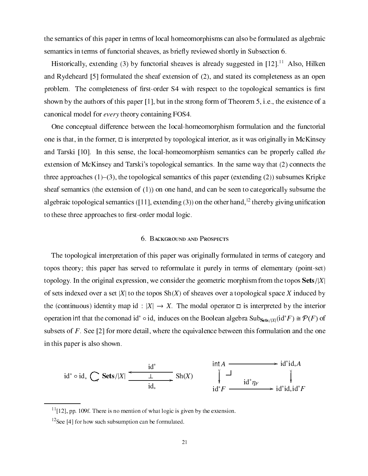the semantics of this paper in terms of local homeomorphisms can also be formulated as algebraic semantics in terms of functorial sheaves, as briefly reviewed shortly in Subsection 6.

Historically, extending (3) by functorial sheaves is already suggested in  $[12]$ <sup>11</sup> Also, Hilken and Rydeheard [5] formulated the sheaf extension of (2), and stated its completeness as an open problem. The ompleteness of -rst-order S4 with respe
t to the topologi
al semanti
s is -rst shown by the authors of this paper [1], but in the strong form of Theorem 5, i.e., the existence of a canonical model for *every* theory containing FOS4.

One conceptual difference between the local-homeomorphism formulation and the functorial one is that, in the former,  $\Box$  is interpreted by topological interior, as it was originally in McKinsey and Tarski  $[10]$ . In this sense, the local-homeomorphism semantics can be properly called the extension of McKinsey and Tarski's topological semantics. In the same way that (2) connects the three approaches  $(1)$ – $(3)$ , the topological semantics of this paper (extending (2)) subsumes Kripke sheaf semantics (the extension of  $(1)$ ) on one hand, and can be seen to categorically subsume the algebraic topological semantics ([11], extending (3)) on the other hand,  $\tau$  thereby giving unification to these three approa
hes to -rst-order modal logi
.

# 6. BACKGROUND AND PROSPECTS

The topologi
al interpretation of this paper was originally formulated in terms of ategory and topos theory; this paper has served to reformulate it purely in terms of elementary (point-set) topology. In the original expression, we consider the geometric morphism from the topos  $\textbf{Sets}/|X|$ of sets indexed over a set |X| to the topos  $\text{Sh}(X)$  of sheaves over a topological space X induced by the (continuous) identity map id :  $|X| \to X$ . The modal operator  $\Box$  is interpreted by the interior operation international the comonad id  $\circ$  id. induces on the Boolean algebra Subs<sub>ets/X</sub><sub>1</sub>(id  $F$ )  $\cong$   $\mathcal{P}(F)$  of subsets of F. See [2] for more detail, where the equivalence between this formulation and the one in this paper is also shown.

$$
\mathrm{id}^* \circ \mathrm{id}_* \quad \underset{\mathrm{id}_*}{\left\{\n \begin{array}{c}\n \mathrm{id}^* \\
 \begin{array}{c}\n \end{array}\n \right\}}\n \xrightarrow{\mathrm{id}^*} \mathrm{Sh}(X)\n \xrightarrow{\hspace{1cm}\mathrm{int}\,A \xrightarrow{\hspace{1cm}\mathrm{int}\,A}\n \begin{array}{c}\n \end{array}\n \right\}}\n \xrightarrow{\hspace{1cm}\mathrm{id}^* \mathrm{id}_*A}\n \begin{array}{c}\n \begin{array}{c}\n \end{array}\n \end{array}\n \begin{array}{c}\n \end{array}\n \end{array}
$$

 $11$ [12], pp. 109f. There is no mention of what logic is given by the extension.

 $12$ See [4] for how such subsumption can be formulated.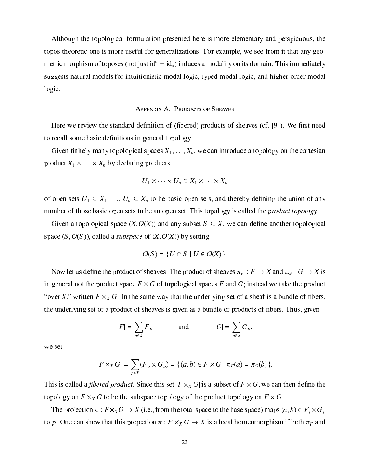Although the topologi
al formulation presented here is more elementary and perspi
uous, the topos-theoreti one is more useful for generalizations. For example, we see from it that any geometric morphism of toposes (not just  $10$   $\rightarrow$  10. ) induces a modality on its domain. This immediately suggests natural models for intuitionistic modal logic, typed modal logic, and higher-order modal logic.

#### APPENDIX A. PRODUCTS OF SHEAVES

 $\mathcal{L}$  is of (-) produced define of (-) produced define  $\mathcal{L}$  is of  $\mathcal{L}$ to relation to relation the some basic property of the some basic property of the some property of the some property of the some property of the some property of the some property of the some property of the some property

al spaces are an introduced and an intelligence and an intelligence and an intelligence and artesian and artes produced the contract of the produced produced by the contract of the contract of the contract of the contract of the contract of the contract of the contract of the contract of the contract of the contract of the contract

$$
U_1 \times \cdots \times U_n \subseteq X_1 \times \cdots \times X_n
$$

of open sets  $\mathcal{L}_1 = \{1, \ldots, \tau\}$  ,  $\mathcal{L}_2 = \{1, \ldots, \tau\}$  and the union of any dependence of any dependence of any number of those basic open sets to be an open set. This topology is called the *product topology*.

al se al space de space (xx) and any subset s and and and and another top complete space  $(S, O(S))$ , called a *subspace* of  $(X, O(X))$  by setting:

$$
O(S) = \{ U \cap S \mid U \in O(X) \}.
$$

now heaves. The product of sheaves F is sheaves. The product of sheaves F is sheaves F is sheaves F is sheaves in general not the produ
t spa
e F - G of topologi
al spa
es F and G; instead we take the produ
t over  $\alpha$  , we set that the  $\alpha$  -  $\alpha$  - and the underlying set of a sheaf is a bundle of  $\alpha$  bundle of  $\alpha$ the underlying set of a product of indicated as  $\mathbb{R}^n$  . Thus, as products is product from  $\mathbb{R}^n$  . Thus,

$$
|F| = \sum_{p \in X} F_p \qquad \text{and} \qquad |G| = \sum_{p \in X} G_p,
$$

we set

$$
|F \times_X G| = \sum_{p \in X} (F_p \times G_p) = \{ (a, b) \in F \times G \mid \pi_F(a) = \pi_G(b) \}.
$$

this is the set of the subset of the subset of the set is a subset of the subset of the subset of the set of th topology of F - X - In the subspace of topology of the production production in F - In

the projection is a  $\Lambda$  - construction from the total space space space space  $\rho$  and  $\rho$  and  $\rho$ to prove time that the show that projection  $\alpha$  is a local distribution if both  $\alpha$  and  $\alpha$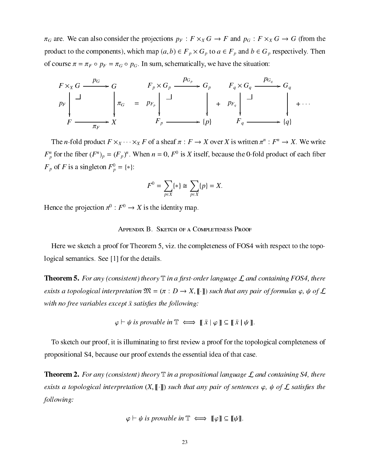$\pi_G$  are. We can also consider the projections  $p_F : F \times_X G \to F$  and  $p_G : F \times_X G \to G$  (from the product to the components), which map  $(a, b) \in F_p \times G_p$  to  $a \in F_p$  and  $b \in G_p$  respectively. Then of course  $\pi = \pi_F \circ p_F = \pi_G \circ p_G$ . In sum, schematically, we have the situation:

$$
F \times_X G \xrightarrow{p_G} G
$$
\n
$$
F_p \times G_p \xrightarrow{p_{G_p}} G_p
$$
\n
$$
F_q \times G_q \xrightarrow{p_{G_q}} G_q
$$
\n
$$
F_r \xrightarrow{p_{F_p}} \downarrow \xrightarrow{f_p} \downarrow \qquad \qquad \downarrow \qquad \downarrow \qquad \downarrow \qquad \downarrow \qquad \downarrow \qquad \downarrow \qquad \downarrow \qquad \downarrow \qquad \downarrow \qquad \downarrow \qquad \downarrow \qquad \downarrow \qquad \downarrow \qquad \downarrow \qquad \downarrow \qquad \downarrow \qquad \downarrow \qquad \downarrow \qquad \downarrow \qquad \downarrow \qquad \downarrow \qquad \downarrow \qquad \downarrow \qquad \downarrow \qquad \downarrow \qquad \downarrow \qquad \downarrow \qquad \downarrow \qquad \downarrow \qquad \downarrow \qquad \downarrow \qquad \downarrow \qquad \downarrow \qquad \downarrow \qquad \downarrow \qquad \downarrow \qquad \downarrow \qquad \downarrow \qquad \downarrow \qquad \downarrow \qquad \downarrow \qquad \downarrow \qquad \downarrow \qquad \downarrow \qquad \downarrow \qquad \downarrow \qquad \downarrow \qquad \downarrow \qquad \downarrow \qquad \downarrow \qquad \downarrow \qquad \downarrow \qquad \downarrow \qquad \downarrow \qquad \downarrow \qquad \downarrow \qquad \downarrow \qquad \downarrow \qquad \downarrow \qquad \downarrow \qquad \downarrow \qquad \downarrow \qquad \downarrow \qquad \downarrow \qquad \downarrow \qquad \downarrow \qquad \downarrow \qquad \downarrow \qquad \downarrow \qquad \downarrow \qquad \downarrow \qquad \downarrow \qquad \downarrow \qquad \downarrow \qquad \downarrow \qquad \downarrow \qquad \downarrow \qquad \downarrow \qquad \downarrow \qquad \downarrow \qquad \downarrow \qquad \downarrow \qquad \downarrow \qquad \downarrow \qquad \downarrow \qquad \downarrow \qquad \downarrow \qquad \downarrow \qquad \downarrow \qquad \downarrow \qquad \downarrow \qquad \downarrow \qquad \downarrow \qquad \downarrow \qquad \downarrow \qquad \downarrow \qquad \downarrow \qquad \downarrow \qquad \downarrow \qquad \downarrow \qquad \downarrow \qquad \downarrow \qquad \downarrow \qquad \downarrow \qquad \downarrow \qquad \downarrow \qquad \downarrow \qquad \downarrow \qquad \downarrow \
$$

The *n*-fold product  $F \times_X \cdots \times_X F$  of a sheaf  $\pi : F \to X$  over X is written  $\pi^n : F^n \to X$ . We write  $F_p^n$  for the fiber  $(F^n)_p = (F_p)^n$ . When  $n = 0$ ,  $F^0$  is X itself, because the 0-fold product of each fiber  $F_p$  of F is a singleton  $F_p^0 = \{ * \}$ :

$$
F^{0} = \sum_{p \in X} \{ * \} \cong \sum_{p \in X} \{ p \} = X.
$$

Hence the projection  $\pi^0 : F^0 \to X$  is the identity map.

#### APPENDIX B. SKETCH OF A COMPLETENESS PROOF

Here we sketch a proof for Theorem 5, viz. the completeness of FOS4 with respect to the topological semantics. See [1] for the details.

**Theorem 5.** For any (consistent) theory  $\mathbb T$  in a first-order language  $\mathcal L$  and containing FOS4, there exists a topological interpretation  $\mathfrak{M} = (\pi : D \to X, [\![\cdot]\!])$  such that any pair of formulas  $\varphi$ ,  $\psi$  of  $\mathcal L$ with no free variables except  $\bar{x}$  satisfies the following:

 $\varphi \vdash \psi$  is provable in  $\mathbb{T} \iff \mathbb{T} \times \varphi \mathbb{T} \subseteq \mathbb{T} \times \psi \mathbb{T}$ .

To sketch our proof, it is illuminating to first review a proof for the topological completeness of propositional S4, because our proof extends the essential idea of that case.

**Theorem 2.** For any (consistent) theory  $\mathbb T$  in a propositional language  $\mathcal L$  and containing S4, there exists a topological interpretation  $(X, \llbracket \cdot \rrbracket)$  such that any pair of sentences  $\varphi$ ,  $\psi$  of  $\mathcal L$  satisfies the following:

$$
\varphi \vdash \psi \text{ is provable in } \mathbb{T} \iff [\![\varphi]\!] \subseteq [\![\psi]\!]
$$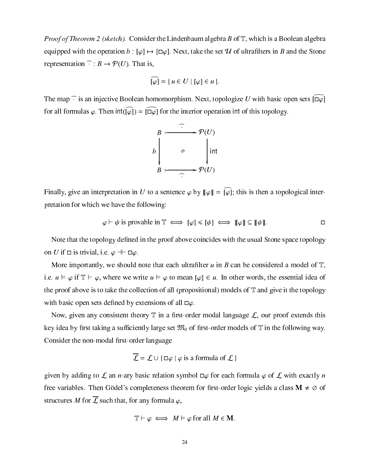*Proof of Theorem 2 (sketch).* Consider the Lindenbaum algebra B of  $\mathbb{T}$ , which is a Boolean algebra equipped with the operation  $b : [\varphi] \mapsto [\Box \varphi]$ . Next, take the set 'H of ultrafilters in B and the Stone representation  $\widehat{\cdot} : B \to \mathcal{P}(U)$ . That is,

$$
\widehat{\left[\varphi\right]} = \{u \in U \mid [\varphi] \in u\}.
$$

The map  $\hat{\cdot}$  is an injective Boolean homomorphism. Next, topologize U with basic open sets  $[\overline{u} \varphi]$ for all formulas  $\varphi$ . Then  $int([\varphi]) = [\varphi]$  for the interior operation int of this topology.



Finally, give an interpretation in U to a sentence  $\varphi$  by  $\llbracket \varphi \rrbracket = \widehat{|\varphi|}$ ; this is then a topological interpretation for whi
h we have the following:

$$
\varphi \vdash \psi \text{ is provable in } \mathbb{T} \iff [\varphi] \leqslant [\psi] \iff [\varphi] \subseteq [\psi] \quad \Box
$$

Note that the topology de-ned in the proof above oin
ides with the usual Stone spa
e topology on U if  $\Box$  is trivial, i.e.  $\varphi \dashv \vdash \Box \varphi$ .

More importantly, we should note that ea
h ultra-lter u in B an be onsidered a model of T, i.e.  $u \vDash \varphi$  if  $\mathbb{T} \vdash \varphi$ , where we write  $u \vDash \varphi$  to mean  $[\varphi] \in u$ . In other words, the essential idea of the proof above is to take the collection of all (propositional) models of  $\mathbb T$  and give it the topology with basic open sets defined by extensions of all  $\Box \varphi$ .

now, given any termination mode, a -m a -mode distribution in agreement the proof extends this iently large set the following a substanting complete M0 of a substanting continuous case was a substanting way. rst-order the non-model of the non-model of the non-model of the non-model of the non-model of the non-model o

$$
\overline{\mathcal{L}} = \mathcal{L} \cup \{ \Box \varphi \mid \varphi \text{ is a formula of } \mathcal{L} \}
$$

given by adding to L an *n*-ary basic relation symbol  $\Box \varphi$  for each formula  $\varphi$  of L with exactly *n* free variables. Then Gödel's completeness theorem for first-order logic yields a class  $\mathbf{M} \neq \emptyset$  of structures M for  $\overline{I}$  such that, for any formula  $\varphi$ .

$$
\mathbb{T} \vdash \varphi \iff M \vDash \varphi \text{ for all } M \in \mathbf{M}.
$$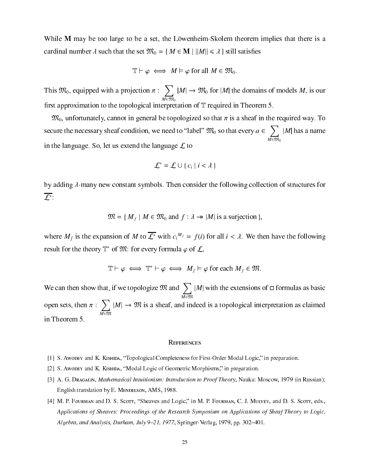While  $M$  may be too large to be a set, the Löwenheim-Skolem theorem implies that there is a ardinal number is that the set Mathematic function of the film in the film of the set of the set of the set of

$$
\mathbb{T} \vdash \varphi \iff M \vDash \varphi \text{ for all } M \in \mathfrak{M}_0.
$$

this model with a project project with a project to prove the set of the project of the set of the set of the s  $\sim$   $\sim$   $\sim$   $\sim$   $\sim$ M2M0 jme i Mary the joej that models models are models me the mo -rst approximation to the topologi
al interpretation of <sup>T</sup> required in Theorem 5.

 $\mathfrak{M}_0$ , unfortunately, cannot in general be topologized so that  $\pi$  is a sheaf in the required way. To seems the net to label and the need to label Most the control wave a 20 south that a 20 south that is a 20 south  $\sim$  $\cdots$ ja has a namesta in the language. So, let us extend the language  $\mathcal L$  to

$$
\mathcal{L}^* = \mathcal{L} \cup \{c_i \mid i < \lambda\}
$$

by adding  $\lambda$ -many new constant symbols. Then consider the following collection of structures for L :

$$
\mathfrak{M} = \{ M_f \mid M \in \mathfrak{M}_0 \text{ and } f : \lambda \rightarrow |M| \text{ is a surjection } \},
$$

where  $M_f$  is the expansion of M to L with  $c_i$  =  $f(t)$  for all  $i \leq \lambda$ . We then have the following result for the theory  $\mathbb{T}$  of  $\mathcal{W}$ : for every formula  $\varphi$  of  $\mathcal{L},$ 

$$
\mathbb{T}\vdash \varphi \iff \mathbb{T}^*\vdash \varphi \iff M_f \vDash \varphi \text{ for each } M_f \in \mathfrak{M}.
$$

We can then show that, if we topologize  $\mathfrak{M}$  and  $\sum |M|$  with the extensions of  $\Box$  formulas as basic open sets, then :  $\sim$   $\sim$   $\sim$   $\sim$   $\sim$   $\sim$ jMj ! <sup>M</sup> is a sheaf, and indeed is a topologi
al interpretation as laimed in Theorem 5.

- [1] S. Awopey and K. Kishipa, "Topological Completeness for First-Order Modal Logic," in preparation.
- [2] S. Awoder and K. Kishida, "Modal Logic of Geometric Morphisms," in preparation.
- [3] A. G. Dragalin, *Mathematical Intuitionism: Introduction to Proof Theory*, Nauka: Moscow, 1979 (in Russian); English translation by E. MENDELSON, AMS, 1988.
- [4] M. P. Fourman and D. S. Scorr, "Sheaves and Logic," in M. P. Fourman, C. J. Mulvey, and D. S. Scorr, eds., Applications of Sheaves: Proceedings of the Research Symposium on Applications of Sheaf Theory to Logic, Algebra, and Analysis, Durham, July 9-21, 1977, Springer-Verlag, 1979, pp. 302-401.